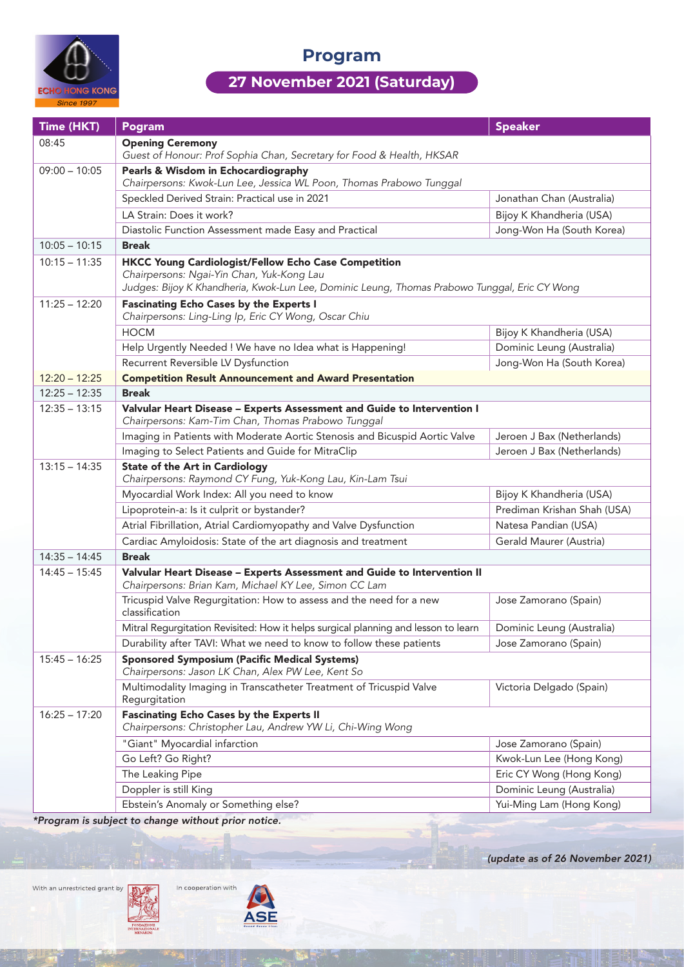

**Program**

## **27 November 2021 (Saturday)**

| Time (HKT)      | Pogram                                                                                                                                                                                                    | <b>Speaker</b>              |  |
|-----------------|-----------------------------------------------------------------------------------------------------------------------------------------------------------------------------------------------------------|-----------------------------|--|
| 08:45           | <b>Opening Ceremony</b><br>Guest of Honour: Prof Sophia Chan, Secretary for Food & Health, HKSAR                                                                                                          |                             |  |
| $09:00 - 10:05$ | Pearls & Wisdom in Echocardiography<br>Chairpersons: Kwok-Lun Lee, Jessica WL Poon, Thomas Prabowo Tunggal                                                                                                |                             |  |
|                 | Speckled Derived Strain: Practical use in 2021                                                                                                                                                            | Jonathan Chan (Australia)   |  |
|                 | LA Strain: Does it work?                                                                                                                                                                                  | Bijoy K Khandheria (USA)    |  |
|                 | Diastolic Function Assessment made Easy and Practical                                                                                                                                                     | Jong-Won Ha (South Korea)   |  |
| $10:05 - 10:15$ | <b>Break</b>                                                                                                                                                                                              |                             |  |
| $10:15 - 11:35$ | <b>HKCC Young Cardiologist/Fellow Echo Case Competition</b><br>Chairpersons: Ngai-Yin Chan, Yuk-Kong Lau<br>Judges: Bijoy K Khandheria, Kwok-Lun Lee, Dominic Leung, Thomas Prabowo Tunggal, Eric CY Wong |                             |  |
| $11:25 - 12:20$ | <b>Fascinating Echo Cases by the Experts I</b><br>Chairpersons: Ling-Ling Ip, Eric CY Wong, Oscar Chiu                                                                                                    |                             |  |
|                 | <b>HOCM</b>                                                                                                                                                                                               | Bijoy K Khandheria (USA)    |  |
|                 | Help Urgently Needed ! We have no Idea what is Happening!                                                                                                                                                 | Dominic Leung (Australia)   |  |
|                 | Recurrent Reversible LV Dysfunction                                                                                                                                                                       | Jong-Won Ha (South Korea)   |  |
| $12:20 - 12:25$ | <b>Competition Result Announcement and Award Presentation</b>                                                                                                                                             |                             |  |
| $12:25 - 12:35$ | <b>Break</b>                                                                                                                                                                                              |                             |  |
| $12:35 - 13:15$ | Valvular Heart Disease - Experts Assessment and Guide to Intervention I<br>Chairpersons: Kam-Tim Chan, Thomas Prabowo Tunggal                                                                             |                             |  |
|                 | Imaging in Patients with Moderate Aortic Stenosis and Bicuspid Aortic Valve                                                                                                                               | Jeroen J Bax (Netherlands)  |  |
|                 | Imaging to Select Patients and Guide for MitraClip                                                                                                                                                        | Jeroen J Bax (Netherlands)  |  |
| $13:15 - 14:35$ | <b>State of the Art in Cardiology</b><br>Chairpersons: Raymond CY Fung, Yuk-Kong Lau, Kin-Lam Tsui                                                                                                        |                             |  |
|                 | Myocardial Work Index: All you need to know                                                                                                                                                               | Bijoy K Khandheria (USA)    |  |
|                 | Lipoprotein-a: Is it culprit or bystander?                                                                                                                                                                | Prediman Krishan Shah (USA) |  |
|                 | Atrial Fibrillation, Atrial Cardiomyopathy and Valve Dysfunction                                                                                                                                          | Natesa Pandian (USA)        |  |
|                 | Cardiac Amyloidosis: State of the art diagnosis and treatment                                                                                                                                             | Gerald Maurer (Austria)     |  |
| $14:35 - 14:45$ | <b>Break</b>                                                                                                                                                                                              |                             |  |
| $14:45 - 15:45$ | Valvular Heart Disease - Experts Assessment and Guide to Intervention II<br>Chairpersons: Brian Kam, Michael KY Lee, Simon CC Lam                                                                         |                             |  |
|                 | Tricuspid Valve Regurgitation: How to assess and the need for a new<br>classification                                                                                                                     | Jose Zamorano (Spain)       |  |
|                 | Mitral Regurgitation Revisited: How it helps surgical planning and lesson to learn                                                                                                                        | Dominic Leung (Australia)   |  |
|                 | Durability after TAVI: What we need to know to follow these patients                                                                                                                                      | Jose Zamorano (Spain)       |  |
| $15:45 - 16:25$ | <b>Sponsored Symposium (Pacific Medical Systems)</b><br>Chairpersons: Jason LK Chan, Alex PW Lee, Kent So                                                                                                 |                             |  |
|                 | Multimodality Imaging in Transcatheter Treatment of Tricuspid Valve<br>Regurgitation                                                                                                                      | Victoria Delgado (Spain)    |  |
| $16:25 - 17:20$ | <b>Fascinating Echo Cases by the Experts II</b><br>Chairpersons: Christopher Lau, Andrew YW Li, Chi-Wing Wong                                                                                             |                             |  |
|                 | "Giant" Myocardial infarction                                                                                                                                                                             | Jose Zamorano (Spain)       |  |
|                 | Go Left? Go Right?                                                                                                                                                                                        | Kwok-Lun Lee (Hong Kong)    |  |
|                 | The Leaking Pipe                                                                                                                                                                                          | Eric CY Wong (Hong Kong)    |  |
|                 | Doppler is still King                                                                                                                                                                                     | Dominic Leung (Australia)   |  |
|                 | Ebstein's Anomaly or Something else?                                                                                                                                                                      | Yui-Ming Lam (Hong Kong)    |  |

*\*Program is subject to change without prior notice.*

With an unrestricted grant by



*(update as of 26 November 2021)*